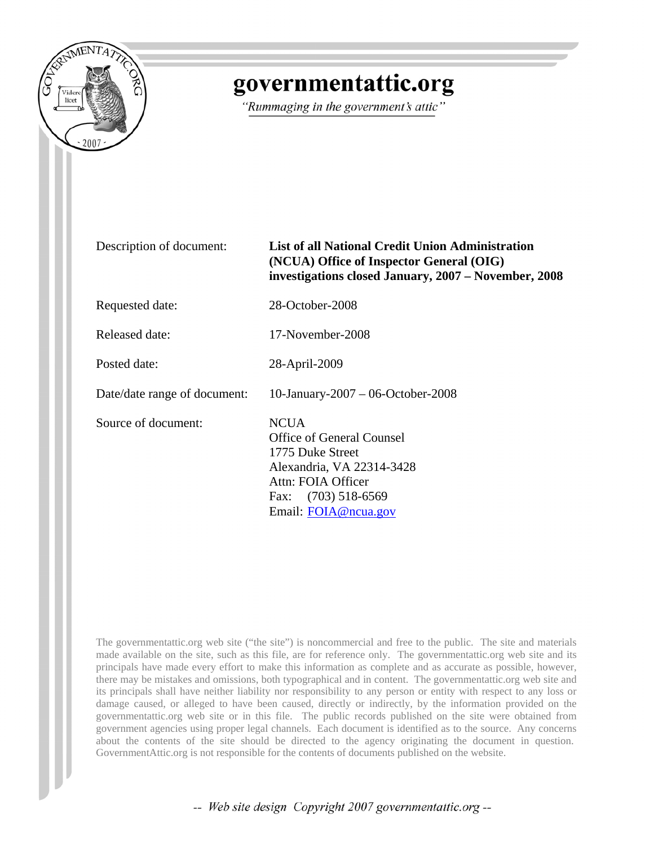

## governmentattic.org

"Rummaging in the government's attic"

Description of document: **List of all National Credit Union Administration (NCUA) Office of Inspector General (OIG) investigations closed January, 2007 – November, 2008**

Requested date: 28-October-2008

Released date: 17-November-2008

Posted date: 28-April-2009

Date/date range of document: 10-January-2007 – 06-October-2008

Source of document: NCUA

Office of General Counsel 1775 Duke Street Alexandria, VA 22314-3428 Attn: FOIA Officer Fax: (703) 518-6569 Email: [FOIA@ncua.gov](mailto:FOIA@ncua.gov)

The governmentattic.org web site ("the site") is noncommercial and free to the public. The site and materials made available on the site, such as this file, are for reference only. The governmentattic.org web site and its principals have made every effort to make this information as complete and as accurate as possible, however, there may be mistakes and omissions, both typographical and in content. The governmentattic.org web site and its principals shall have neither liability nor responsibility to any person or entity with respect to any loss or damage caused, or alleged to have been caused, directly or indirectly, by the information provided on the governmentattic.org web site or in this file. The public records published on the site were obtained from government agencies using proper legal channels. Each document is identified as to the source. Any concerns about the contents of the site should be directed to the agency originating the document in question. GovernmentAttic.org is not responsible for the contents of documents published on the website.

-- Web site design Copyright 2007 governmentattic.org --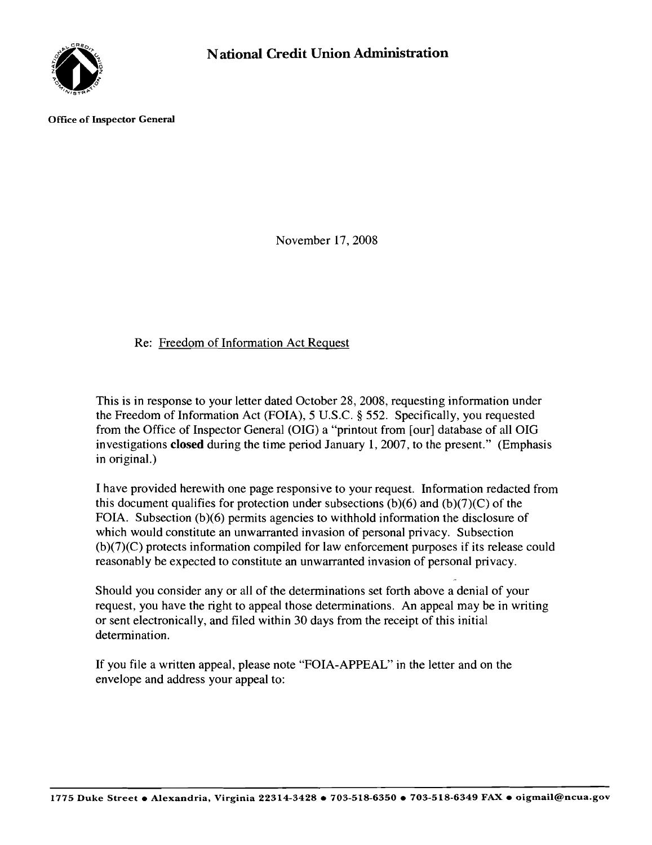

Office of Inspector General

November 17,2008

## Re: Freedom of Information Act Request

This is in response to your letter dated October 28, 2008, requesting information under the Freedom of Information Act (FOIA), 5 U.S.c. § 552. Specifically, you requested from the Office of Inspector General (OIG) a "printout from [our] database of all OIG investigations **closed** during the time period January 1,2007, to the present." (Emphasis in original.)

I have provided herewith one page responsive to your request. Information redacted from this document qualifies for protection under subsections  $(b)(6)$  and  $(b)(7)(C)$  of the FOIA. Subsection (b)(6) permits agencies to withhold information the disclosure of which would constitute an unwarranted invasion of personal privacy. Subsection (b)(7)(C) protects information compiled for law enforcement purposes if its release could reasonably be expected to constitute an unwarranted invasion of personal privacy.

Should you consider any or all of the determinations set forth above a denial of your request, you have the right to appeal those determinations. An appeal may be in writing or sent electronically, and filed within 30 days from the receipt of this initial determination.

If you file a written appeal, please note "FOIA-APPEAL" in the letter and on the envelope and address your appeal to: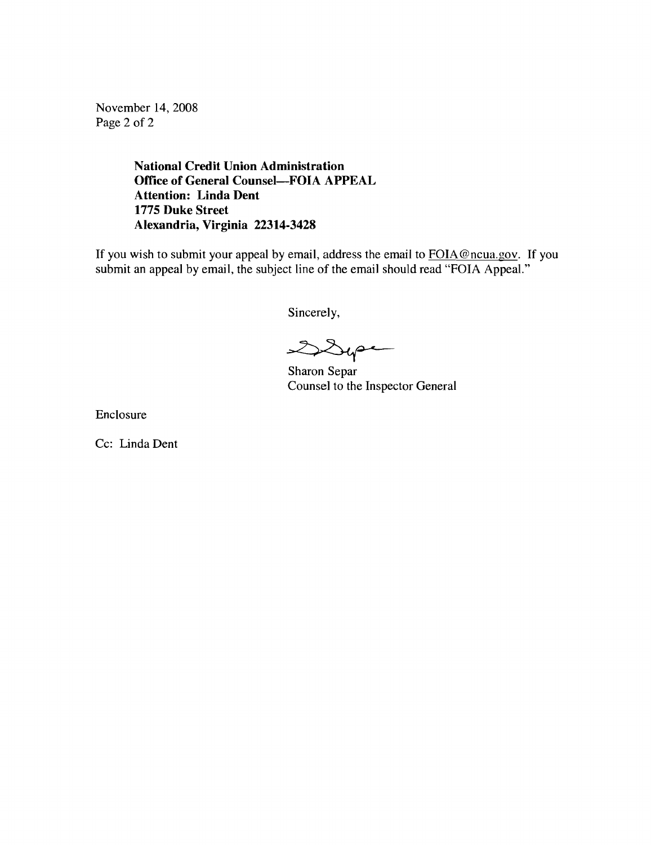November 14,2008 Page 2 of 2

> **National Credit Union Administration Office of General Counsel-FOIA APPEAL Attention: Linda Dent 1775 Duke Street Alexandria, Virginia 22314-3428**

If you wish to submit your appeal by email, address the email to FOIA@ncua.gov. If you submit an appeal by email, the subject line of the email should read "FOIA Appeal."

Sincerely,

 $2224$ 

Sharon Separ Counsel to the Inspector General

Enclosure

Cc: Linda Dent